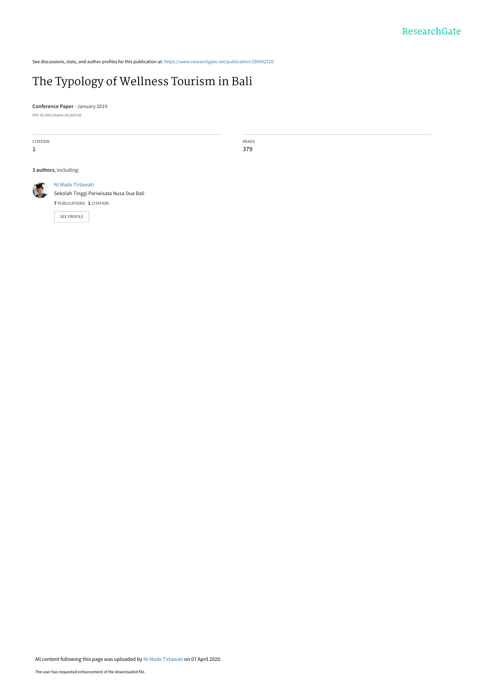See discussions, stats, and author profiles for this publication at: [https://www.researchgate.net/publication/330992720](https://www.researchgate.net/publication/330992720_The_Typology_of_Wellness_Tourism_in_Bali?enrichId=rgreq-c8e8450b13292c66f58e8b25cf5aa9ee-XXX&enrichSource=Y292ZXJQYWdlOzMzMDk5MjcyMDtBUzo4Nzc1OTc2OTcyNjk3NjBAMTU4NjI0NzAwNDI1Nw%3D%3D&el=1_x_2&_esc=publicationCoverPdf)

# [The Typology of Wellness Tourism in Bali](https://www.researchgate.net/publication/330992720_The_Typology_of_Wellness_Tourism_in_Bali?enrichId=rgreq-c8e8450b13292c66f58e8b25cf5aa9ee-XXX&enrichSource=Y292ZXJQYWdlOzMzMDk5MjcyMDtBUzo4Nzc1OTc2OTcyNjk3NjBAMTU4NjI0NzAwNDI1Nw%3D%3D&el=1_x_3&_esc=publicationCoverPdf)

**Conference Paper** · January 2019 DOI: 10.2991/teams-18.2019.36

CITATION

1

READS 379

**3 authors**, including:



[Ni Made Tirtawati](https://www.researchgate.net/profile/Ni_Tirtawati?enrichId=rgreq-c8e8450b13292c66f58e8b25cf5aa9ee-XXX&enrichSource=Y292ZXJQYWdlOzMzMDk5MjcyMDtBUzo4Nzc1OTc2OTcyNjk3NjBAMTU4NjI0NzAwNDI1Nw%3D%3D&el=1_x_5&_esc=publicationCoverPdf) [Sekolah Tinggi Pariwisata Nusa Dua Bali](https://www.researchgate.net/institution/Sekolah_Tinggi_Pariwisata_Nusa_Dua_Bali?enrichId=rgreq-c8e8450b13292c66f58e8b25cf5aa9ee-XXX&enrichSource=Y292ZXJQYWdlOzMzMDk5MjcyMDtBUzo4Nzc1OTc2OTcyNjk3NjBAMTU4NjI0NzAwNDI1Nw%3D%3D&el=1_x_6&_esc=publicationCoverPdf) **7** PUBLICATIONS **1** CITATION

[SEE PROFILE](https://www.researchgate.net/profile/Ni_Tirtawati?enrichId=rgreq-c8e8450b13292c66f58e8b25cf5aa9ee-XXX&enrichSource=Y292ZXJQYWdlOzMzMDk5MjcyMDtBUzo4Nzc1OTc2OTcyNjk3NjBAMTU4NjI0NzAwNDI1Nw%3D%3D&el=1_x_7&_esc=publicationCoverPdf)

All content following this page was uploaded by [Ni Made Tirtawati](https://www.researchgate.net/profile/Ni_Tirtawati?enrichId=rgreq-c8e8450b13292c66f58e8b25cf5aa9ee-XXX&enrichSource=Y292ZXJQYWdlOzMzMDk5MjcyMDtBUzo4Nzc1OTc2OTcyNjk3NjBAMTU4NjI0NzAwNDI1Nw%3D%3D&el=1_x_10&_esc=publicationCoverPdf) on 07 April 2020.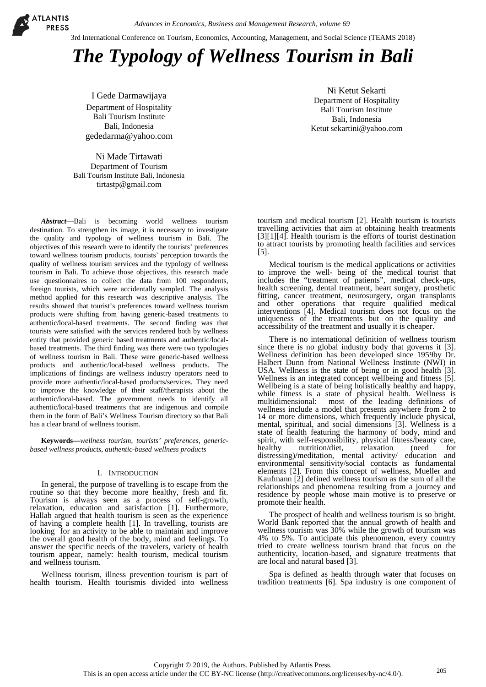ATLANTIS **PRESS** 

3rd International Conference on Tourism, Economics, Accounting, Management, and Social Science (TEAMS 2018)

# *The Typology of Wellness Tourism in Bali*

I Gede Darmawijaya Department of Hospitality Bali Tourism Institute Bali, Indonesia [gededarma@yahoo.com](mailto:gededarma@yahoo.com)

Ni Made Tirtawati Department of Tourism Bali Tourism Institute Bali, Indonesia [tirtastp@gmail.com](mailto:tirtastp@gmail.com)

*Abstract***—**Bali is becoming world wellness tourism destination. To strengthen its image, it is necessary to investigate the quality and typology of wellness tourism in Bali. The objectives of this research were to identify the tourists' preferences toward wellness tourism products, tourists' perception towards the quality of wellness tourism services and the typology of wellness tourism in Bali. To achieve those objectives, this research made use questionnaires to collect the data from 100 respondents, foreign tourists, which were accidentally sampled. The analysis method applied for this research was descriptive analysis. The results showed that tourist's preferences toward wellness tourism products were shifting from having generic-based treatments to authentic/local-based treatments. The second finding was that tourists were satisfied with the services rendered both by wellness entity that provided generic based treatments and authentic/localbased treatments. The third finding was there were two typologies of wellness tourism in Bali. These were generic-based wellness products and authentic/local-based wellness products. The implications of findings are wellness industry operators need to provide more authentic/local-based products/services. They need to improve the knowledge of their staff/therapists about the authentic/local-based. The government needs to identify all authentic/local-based treatments that are indigenous and compile them in the form of Bali's Wellness Tourism directory so that Bali has a clear brand of wellness tourism.

**Keywords—***wellness tourism, tourists' preferences, genericbased wellness products, authentic-based wellness products*

#### I. INTRODUCTION

In general, the purpose of travelling is to escape from the routine so that they become more healthy, fresh and fit. Tourism is always seen as a process of self-growth, relaxation, education and satisfaction [1]. Furthermore, Hallab argued that health tourism is seen as the experience of having a complete health [1]. In travelling, tourists are looking for an activity to be able to maintain and improve the overall good health of the body, mind and feelings. To answer the specific needs of the travelers, variety of health tourism appear, namely: health tourism, medical tourism and wellness tourism.

Wellness tourism, illness prevention tourism is part of health tourism. Health tourismis divided into wellness

Ni Ketut Sekarti Department of Hospitality Bali Tourism Institute Bali, Indonesia Ketut sekartini@yahoo.com

tourism and medical tourism [2]. Health tourism is tourists travelling activities that aim at obtaining health treatments [3][1][4]. Health tourism is the efforts of tourist destination to attract tourists by promoting health facilities and services [5].

Medical tourism is the medical applications or activities to improve the well- being of the medical tourist that includes the "treatment of patients", medical check-ups, health screening, dental treatment, heart surgery, prosthetic fitting, cancer treatment, neurosurgery, organ transplants and other operations that require qualified medical interventions [4]. Medical tourism does not focus on the uniqueness of the treatments but on the quality and accessibility of the treatment and usually it is cheaper.

There is no international definition of wellness tourism<br>since there is no global industry body that governs it [3]. since there is no global industry body that governs it [3]. Wellness definition has been developed since 1959by Dr. Halbert Dunn from National Wellness Institute (NWI) in USA. Wellness is the state of being or in good health [3]. Wellness is an integrated concept wellbeing and fitness [5]. Wellbeing is a state of being holistically healthy and happy, while fitness is a state of physical health. Wellness is multidimensional: most of the leading definitions of wellness include a model that presents anywhere from 2 to 14 or more dimensions, which frequently include physical, mental, spiritual, and social dimensions [3]. Wellness is a state of health featuring the harmony of body, mind and spirit, with self-responsibility, physical fitness/beauty care, healthy nutrition/diet, relaxation (need for distressing)/meditation, mental activity/ education and environmental sensitivity/social contacts as fundamental elements [2]. From this concept of wellness, Mueller and Kaufmann [2] defined wellness tourism as the sum of all the relationships and phenomena resulting from a journey and residence by people whose main motive is to preserve or promote their health.

The prospect of health and wellness tourism is so bright. World Bank reported that the annual growth of health and wellness tourism was 30% while the growth of tourism was 4% to 5%. To anticipate this phenomenon, every country tried to create wellness tourism brand that focus on the authenticity, location-based, and signature treatments that are local and natural based [3].

Spa is defined as health through water that focuses on tradition treatments [6]. Spa industry is one component of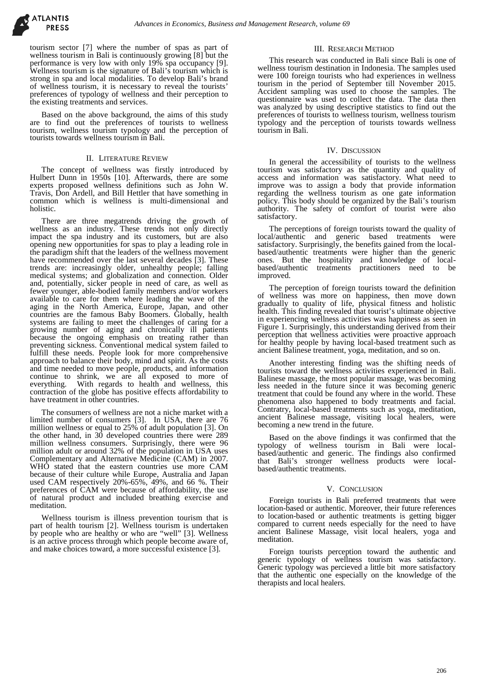tourism sector [7] where the number of spas as part of wellness tourism in Bali is continuously growing [8] but the performance is very low with only 19% spa occupancy [9]. Wellness tourism is the signature of Bali's tourism which is strong in spa and local modalities. To develop Bali's brand of wellness tourism, it is necessary to reveal the tourists' preferences of typology of wellness and their perception to the existing treatments and services.

Based on the above background, the aims of this study are to find out the preferences of tourists to wellness tourism, wellness tourism typology and the perception of tourists towards wellness tourism in Bali.

#### II. LITERATURE REVIEW

The concept of wellness was firstly introduced by Hulbert Dunn in 1950s [10]. Afterwards, there are some experts proposed wellness definitions such as John W. Travis, Don Ardell, and Bill Hettler that have something in common which is wellness is multi-dimensional and holistic.

There are three megatrends driving the growth of wellness as an industry. These trends not only directly impact the spa industry and its customers, but are also opening new opportunities for spas to play a leading role in the paradigm shift that the leaders of the wellness movement have recommended over the last several decades [3]. These trends are: increasingly older, unhealthy people; falling medical systems; and globalization and connection. Older and, potentially, sicker people in need of care, as well as fewer younger, able-bodied family members and/or workers available to care for them where leading the wave of the aging in the North America, Europe, Japan, and other countries are the famous Baby Boomers. Globally, health systems are failing to meet the challenges of caring for a growing number of aging and chronically ill patients because the ongoing emphasis on treating rather than preventing sickness. Conventional medical system failed to fulfill these needs. People look for more comprehensive approach to balance their body, mind and spirit. As the costs and time needed to move people, products, and information continue to shrink, we are all exposed to more of everything. With regards to health and wellness, this contraction of the globe has positive effects affordability to have treatment in other countries.

The consumers of wellness are not a niche market with a limited number of consumers [3]. In USA, there are 76 million wellness or equal to 25% of adult population [3]. On the other hand, in 30 developed countries there were 289 million wellness consumers. Surprisingly, there were 96 million adult or around 32% of the population in USA uses Complementary and Alternative Medicine (CAM) in 2007. WHO stated that the eastern countries use more CAM because of their culture while Europe, Australia and Japan used CAM respectively 20%-65%, 49%, and 66 %. Their preferences of CAM were because of affordability, the use of natural product and included breathing exercise and meditation.

Wellness tourism is illness prevention tourism that is part of health tourism [2]. Wellness tourism is undertaken by people who are healthy or who are "well" [3]. Wellness is an active process through which people become aware of, and make choices toward, a more successful existence [3].

### III. RESEARCH METHOD

This research was conducted in Bali since Bali is one of wellness tourism destination in Indonesia. The samples used were 100 foreign tourists who had experiences in wellness tourism in the period of September till November 2015. Accident sampling was used to choose the samples. The questionnaire was used to collect the data. The data then was analyzed by using descriptive statistics to find out the preferences of tourists to wellness tourism, wellness tourism typology and the perception of tourists towards wellness tourism in Bali.

#### IV. DISCUSSION

In general the accessibility of tourists to the wellness tourism was satisfactory as the quantity and quality of access and information was satisfactory. What need to improve was to assign a body that provide information regarding the wellness tourism as one gate information policy. This body should be organized by the Bali's tourism authority. The safety of comfort of tourist were also satisfactory.

The perceptions of foreign tourists toward the quality of local/authentic and generic based treatments were satisfactory. Surprisingly, the benefits gained from the localbased/authentic treatments were higher than the generic ones. But the hospitality and knowledge of localbased/authentic treatments practitioners need to be improved.

The perception of foreign tourists toward the definition of wellness was more on happiness, then move down gradually to quality of life, physical fitness and holistic health. This finding revealed that tourist's ultimate objective in experiencing wellness activities was happiness as seen in Figure 1. Surprisingly, this understanding derived from their perception that wellness activities were proactive approach for healthy people by having local-based treatment such as ancient Balinese treatment, yoga, meditation, and so on.

Another interesting finding was the shifting needs of tourists toward the wellness activities experienced in Bali. Balinese massage, the most popular massage, was becoming less needed in the future since it was becoming generic treatment that could be found any where in the world. These phenomena also happened to body treatments and facial. Contratry, local-based treatments such as yoga, meditation, ancient Balinese massage, visiting local healers, were becoming a new trend in the future.

Based on the above findings it was confirmed that the typology of wellness tourism in Bali were localbased/authentic and generic. The findings also confirmed that Bali's stronger wellness products were localbased/authentic treatments.

## V. CONCLUSION

Foreign tourists in Bali preferred treatments that were location-based or authentic. Moreover, their future references to location-based or authentic treatments is getting bigger compared to current needs especially for the need to have ancient Balinese Massage, visit local healers, yoga and meditation.

Foreign tourists perception toward the authentic and generic typology of wellness tourism was satisfactory. Generic typology was percieved a little bit more satisfactory that the authentic one especially on the knowledge of the therapists and local healers.